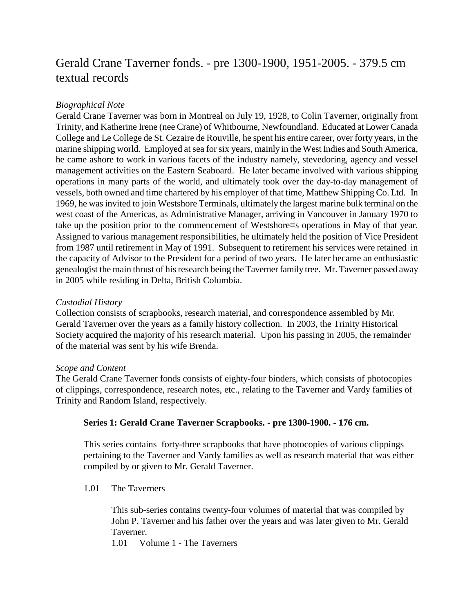# Gerald Crane Taverner fonds. - pre 1300-1900, 1951-2005. - 379.5 cm textual records

## *Biographical Note*

Gerald Crane Taverner was born in Montreal on July 19, 1928, to Colin Taverner, originally from Trinity, and Katherine Irene (nee Crane) of Whitbourne, Newfoundland. Educated at Lower Canada College and Le College de St. Cezaire de Rouville, he spent his entire career, over forty years, in the marine shipping world. Employed at sea for six years, mainly in the West Indies and South America, he came ashore to work in various facets of the industry namely, stevedoring, agency and vessel management activities on the Eastern Seaboard. He later became involved with various shipping operations in many parts of the world, and ultimately took over the day-to-day management of vessels, both owned and time chartered by his employer of that time, Matthew Shipping Co. Ltd. In 1969, he was invited to join Westshore Terminals, ultimately the largest marine bulk terminal on the west coast of the Americas, as Administrative Manager, arriving in Vancouver in January 1970 to take up the position prior to the commencement of Westshore=s operations in May of that year. Assigned to various management responsibilities, he ultimately held the position of Vice President from 1987 until retirement in May of 1991. Subsequent to retirement his services were retained in the capacity of Advisor to the President for a period of two years. He later became an enthusiastic genealogist the main thrust of his research being the Taverner family tree. Mr. Taverner passed away in 2005 while residing in Delta, British Columbia.

## *Custodial History*

Collection consists of scrapbooks, research material, and correspondence assembled by Mr. Gerald Taverner over the years as a family history collection. In 2003, the Trinity Historical Society acquired the majority of his research material. Upon his passing in 2005, the remainder of the material was sent by his wife Brenda.

## *Scope and Content*

The Gerald Crane Taverner fonds consists of eighty-four binders, which consists of photocopies of clippings, correspondence, research notes, etc., relating to the Taverner and Vardy families of Trinity and Random Island, respectively.

## **Series 1: Gerald Crane Taverner Scrapbooks. - pre 1300-1900. - 176 cm.**

This series contains forty-three scrapbooks that have photocopies of various clippings pertaining to the Taverner and Vardy families as well as research material that was either compiled by or given to Mr. Gerald Taverner.

1.01 The Taverners

This sub-series contains twenty-four volumes of material that was compiled by John P. Taverner and his father over the years and was later given to Mr. Gerald Taverner.

1.01 Volume 1 - The Taverners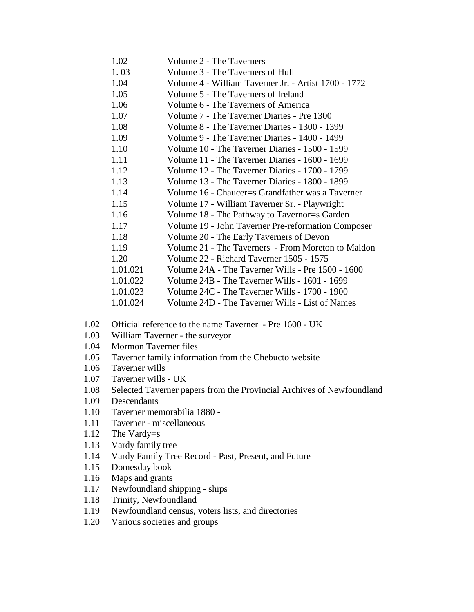| 1.02     | Volume 2 - The Taverners                             |
|----------|------------------------------------------------------|
| 1.03     | Volume 3 - The Taverners of Hull                     |
| 1.04     | Volume 4 - William Taverner Jr. - Artist 1700 - 1772 |
| 1.05     | Volume 5 - The Taverners of Ireland                  |
| 1.06     | Volume 6 - The Taverners of America                  |
| 1.07     | Volume 7 - The Taverner Diaries - Pre 1300           |
| 1.08     | Volume 8 - The Taverner Diaries - 1300 - 1399        |
| 1.09     | Volume 9 - The Taverner Diaries - 1400 - 1499        |
| 1.10     | Volume 10 - The Taverner Diaries - 1500 - 1599       |
| 1.11     | Volume 11 - The Taverner Diaries - 1600 - 1699       |
| 1.12     | Volume 12 - The Taverner Diaries - 1700 - 1799       |
| 1.13     | Volume 13 - The Taverner Diaries - 1800 - 1899       |
| 1.14     | Volume 16 - Chaucer=s Grandfather was a Taverner     |
| 1.15     | Volume 17 - William Taverner Sr. - Playwright        |
| 1.16     | Volume 18 - The Pathway to Tavernor=s Garden         |
| 1.17     | Volume 19 - John Taverner Pre-reformation Composer   |
| 1.18     | Volume 20 - The Early Taverners of Devon             |
| 1.19     | Volume 21 - The Taverners - From Moreton to Maldon   |
| 1.20     | Volume 22 - Richard Taverner 1505 - 1575             |
| 1.01.021 | Volume 24A - The Taverner Wills - Pre 1500 - 1600    |
| 1.01.022 | Volume 24B - The Taverner Wills - 1601 - 1699        |
| 1.01.023 | Volume 24C - The Taverner Wills - 1700 - 1900        |
| 1.01.024 | Volume 24D - The Taverner Wills - List of Names      |

- 1.02 Official reference to the name Taverner Pre 1600 UK
- 1.03 William Taverner the surveyor
- 1.04 Mormon Taverner files
- 1.05 Taverner family information from the Chebucto website
- 1.06 Taverner wills
- 1.07 Taverner wills UK
- 1.08 Selected Taverner papers from the Provincial Archives of Newfoundland
- 1.09 Descendants
- 1.10 Taverner memorabilia 1880 -
- 1.11 Taverner miscellaneous
- 1.12 The Vardy=s<br>1.13 Vardy family
- Vardy family tree
- 1.14 Vardy Family Tree Record Past, Present, and Future
- 1.15 Domesday book
- 1.16 Maps and grants
- 1.17 Newfoundland shipping ships
- 1.18 Trinity, Newfoundland
- 1.19 Newfoundland census, voters lists, and directories
- 1.20 Various societies and groups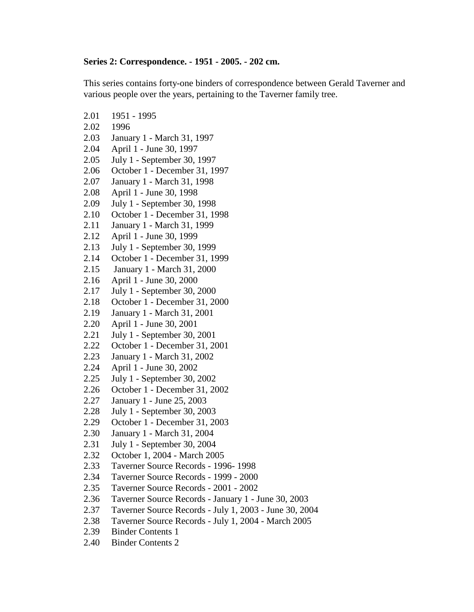## **Series 2: Correspondence. - 1951 - 2005. - 202 cm.**

This series contains forty-one binders of correspondence between Gerald Taverner and various people over the years, pertaining to the Taverner family tree.

- 2.01 1951 1995 2.02 1996
- 2.03 January 1 March 31, 1997
- 2.04 April 1 June 30, 1997
- 2.05 July 1 September 30, 1997
- 2.06 October 1 December 31, 1997
- 2.07 January 1 March 31, 1998
- 2.08 April 1 June 30, 1998
- 2.09 July 1 September 30, 1998
- 2.10 October 1 December 31, 1998
- 2.11 January 1 March 31, 1999
- 2.12 April 1 June 30, 1999
- 2.13 July 1 September 30, 1999
- 2.14 October 1 December 31, 1999
- 2.15 January 1 March 31, 2000
- 2.16 April 1 June 30, 2000
- 2.17 July 1 September 30, 2000
- 2.18 October 1 December 31, 2000
- 2.19 January 1 March 31, 2001
- 2.20 April 1 June 30, 2001
- 2.21 July 1 September 30, 2001
- 2.22 October 1 December 31, 2001
- 2.23 January 1 March 31, 2002
- 2.24 April 1 June 30, 2002
- 2.25 July 1 September 30, 2002
- 2.26 October 1 December 31, 2002
- 2.27 January 1 June 25, 2003
- 2.28 July 1 September 30, 2003
- 2.29 October 1 December 31, 2003
- 2.30 January 1 March 31, 2004
- 2.31 July 1 September 30, 2004
- 2.32 October 1, 2004 March 2005
- 2.33 Taverner Source Records 1996- 1998
- 2.34 Taverner Source Records 1999 2000
- 2.35 Taverner Source Records 2001 2002
- 2.36 Taverner Source Records January 1 June 30, 2003
- 2.37 Taverner Source Records July 1, 2003 June 30, 2004
- 2.38 Taverner Source Records July 1, 2004 March 2005
- 2.39 Binder Contents 1
- 2.40 Binder Contents 2